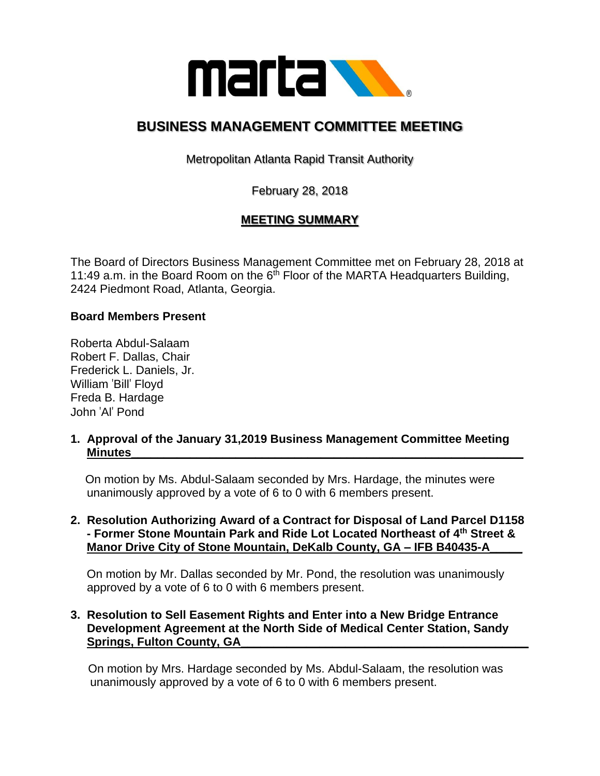

# **BUSINESS MANAGEMENT COMMITTEE MEETING**

Metropolitan Atlanta Rapid Transit Authority

February 28, 2018

# **MEETING SUMMARY**

The Board of Directors Business Management Committee met on February 28, 2018 at 11:49 a.m. in the Board Room on the  $6<sup>th</sup>$  Floor of the MARTA Headquarters Building, 2424 Piedmont Road, Atlanta, Georgia.

# **Board Members Present**

Roberta Abdul-Salaam Robert F. Dallas, Chair Frederick L. Daniels, Jr. William 'Bill' Floyd Freda B. Hardage John 'Al' Pond

**1. Approval of the January 31,2019 Business Management Committee Meeting Minutes\_\_\_\_\_\_\_\_\_\_\_\_\_\_\_\_\_\_\_\_\_\_\_\_\_\_\_\_\_\_\_\_\_\_\_\_\_\_\_\_\_\_\_\_\_\_\_\_\_\_\_\_\_\_\_\_\_\_\_\_**

 On motion by Ms. Abdul-Salaam seconded by Mrs. Hardage, the minutes were unanimously approved by a vote of 6 to 0 with 6 members present.

#### **2. Resolution Authorizing Award of a Contract for Disposal of Land Parcel D1158 - Former Stone Mountain Park and Ride Lot Located Northeast of 4th Street & Manor Drive City of Stone Mountain, DeKalb County, GA – IFB B40435-A\_\_\_\_\_**

 On motion by Mr. Dallas seconded by Mr. Pond, the resolution was unanimously approved by a vote of 6 to 0 with 6 members present.

#### **3. Resolution to Sell Easement Rights and Enter into a New Bridge Entrance Development Agreement at the North Side of Medical Center Station, Sandy**  Springs, Fulton County, GA

On motion by Mrs. Hardage seconded by Ms. Abdul-Salaam, the resolution was unanimously approved by a vote of 6 to 0 with 6 members present.